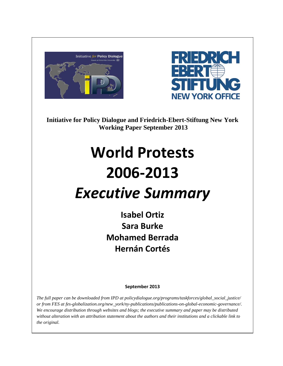



**Initiative for Policy Dialogue and Friedrich-Ebert-Stiftung New York Working Paper September 2013**

## **World Protests 2006-2013** *Executive Summary*

**Isabel Ortiz Sara Burke Mohamed Berrada Hernán Cortés**

**September 2013**

*The full paper can be downloaded from IPD at policydialogue.org/programs/taskforces/global\_social\_justice/ or from FES at fes-globalization.org/new\_york/ny-publications/publications-on-global-economic-governance/. We encourage distribution through websites and blogs; the executive summary and paper may be distributed without alteration with an attribution statement about the authors and their institutions and a clickable link to the original.*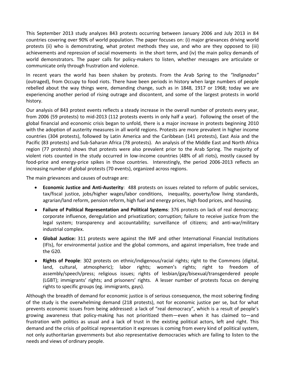This September 2013 study analyzes 843 protests occurring between January 2006 and July 2013 in 84 countries covering over 90% of world population. The paper focuses on: (i) major grievances driving world protests (ii) who is demonstrating, what protest methods they use, and who are they opposed to (iii) achievements and repression of social movements in the short term, and (iv) the main policy demands of world demonstrators. The paper calls for policy-makers to listen, whether messages are articulate or communicate only through frustration and violence.

In recent years the world has been shaken by protests. From the Arab Spring to the *"Indignados"* (outraged), from Occupy to food riots. There have been periods in history when large numbers of people rebelled about the way things were, demanding change, such as in 1848, 1917 or 1968; today we are experiencing another period of rising outrage and discontent, and some of the largest protests in world history.

Our analysis of 843 protest events reflects a steady increase in the overall number of protests every year, from 2006 (59 protests) to mid-2013 (112 protests events in only half a year). Following the onset of the global financial and economic crisis began to unfold, there is a major increase in protests beginning 2010 with the adoption of austerity measures in all world regions. Protests are more prevalent in higher income countries (304 protests), followed by Latin America and the Caribbean (141 protests), East Asia and the Pacific (83 protests) and Sub-Saharan Africa (78 protests). An analysis of the Middle East and North Africa region (77 protests) shows that protests were also prevalent prior to the Arab Spring. The majority of violent riots counted in the study occurred in low-income countries (48% of all riots), mostly caused by food-price and energy-price spikes in those countries. Interestingly, the period 2006-2013 reflects an increasing number of global protests (70 events), organized across regions.

The main grievances and causes of outrage are:

- **Economic Justice and Anti-Austerity**: 488 protests on issues related to reform of public services, tax/fiscal justice, jobs/higher wages/labor conditions, inequality, poverty/low living standards, agrarian/land reform, pension reform, high fuel and energy prices, high food prices, and housing.
- **Failure of Political Representation and Political Systems**: 376 protests on lack of real democracy; corporate influence, deregulation and privatization; corruption; failure to receive justice from the legal system; transparency and accountability; surveillance of citizens; and anti-war/military industrial complex.
- **Global Justice:** 311 protests were against the IMF and other International Financial Institutions (IFIs), for environmental justice and the global commons, and against imperialism, free trade and the G20.
- **Rights of People**: 302 protests on ethnic/indigenous/racial rights; right to the Commons (digital, land, cultural, atmospheric); labor rights; women's rights; right to freedom of assembly/speech/press; religious issues; rights of lesbian/gay/bisexual/transgendered people (LGBT); immigrants' rights; and prisoners' rights. A lesser number of protests focus on denying rights to specific groups (eg. immigrants, gays).

Although the breadth of demand for economic justice is of serious consequence, the most sobering finding of the study is the overwhelming demand (218 protests), not for economic justice per se, but for what prevents economic issues from being addressed: a lack of "real democracy", which is a result of people's growing awareness that policy-making has not prioritized them—even when it has claimed to—and frustration with politics as usual and a lack of trust in the existing political actors, left and right. This demand and the crisis of political representation it expresses is coming from every kind of political system, not only authoritarian governments but also representative democracies which are failing to listen to the needs and views of ordinary people.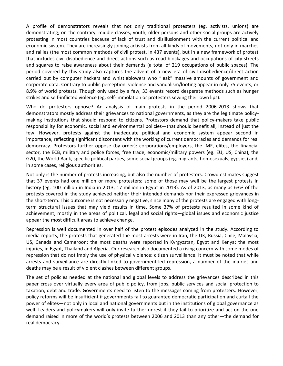A profile of demonstrators reveals that not only traditional protesters (eg. activists, unions) are demonstrating; on the contrary, middle classes, youth, older persons and other social groups are actively protesting in most countries because of lack of trust and disillusionment with the current political and economic system. They are increasingly joining activists from all kinds of movements, not only in marches and rallies (the most common methods of civil protest, in 437 events), but in a new framework of protest that includes civil disobedience and direct actions such as road blockages and occupations of city streets and squares to raise awareness about their demands (a total of 219 occupations of public spaces). The period covered by this study also captures the advent of a new era of civil disobedience/direct action carried out by computer hackers and whistleblowers who "leak" massive amounts of government and corporate data. Contrary to public perception, violence and vandalism/looting appear in only 75 events, or 8.9% of world protests. Though only used by a few, 33 events record desperate methods such as hunger strikes and self-inflicted violence (eg. self-immolation or protesters sewing their own lips).

Who do protesters oppose? An analysis of main protests in the period 2006-2013 shows that demonstrators mostly address their grievances to national governments, as they are the legitimate policymaking institutions that should respond to citizens. Protestors demand that policy-makers take public responsibility for economic, social and environmental policies—that should benefit all, instead of just the few. However, protests against the inadequate political and economic system appear second in importance, reflecting significant discontent with the working of current democracies and demands for real democracy. Protestors further oppose (by order): corporations/employers, the IMF, elites, the financial sector, the ECB, military and police forces, free trade, economic/military powers (eg. EU, US, China), the G20, the World Bank, specific political parties, some social groups (eg. migrants, homosexuals, gypsies) and, in some cases, religious authorities.

Not only is the number of protests increasing, but also the number of protestors. Crowd estimates suggest that 37 events had one million or more protesters; some of those may well be the largest protests in history (eg. 100 million in India in 2013, 17 million in Egypt in 2013). As of 2013, as many as 63% of the protests covered in the study achieved neither their intended demands nor their expressed grievances in the short-term. This outcome is not necessarily negative, since many of the protests are engaged with longterm structural issues that may yield results in time. Some 37% of protests resulted in some kind of achievement, mostly in the areas of political, legal and social rights—global issues and economic justice appear the most difficult areas to achieve change.

Repression is well documented in over half of the protest episodes analyzed in the study. According to media reports, the protests that generated the most arrests were in Iran, the UK, Russia, Chile, Malaysia, US, Canada and Cameroon; the most deaths were reported in Kyrgyzstan, Egypt and Kenya; the most injuries, in Egypt, Thailand and Algeria. Our research also documented a rising concern with some modes of repression that do not imply the use of physical violence: citizen surveillance. It must be noted that while arrests and surveillance are directly linked to government-led repression, a number of the injuries and deaths may be a result of violent clashes between different groups.

The set of policies needed at the national and global levels to address the grievances described in this paper cross over virtually every area of public policy, from jobs, public services and social protection to taxation, debt and trade. Governments need to listen to the messages coming from protesters. However, policy reforms will be insufficient if governments fail to guarantee democratic participation and curtail the power of elites—not only in local and national governments but in the institutions of global governance as well. Leaders and policymakers will only invite further unrest if they fail to prioritize and act on the one demand raised in more of the world's protests between 2006 and 2013 than any other—the demand for real democracy.